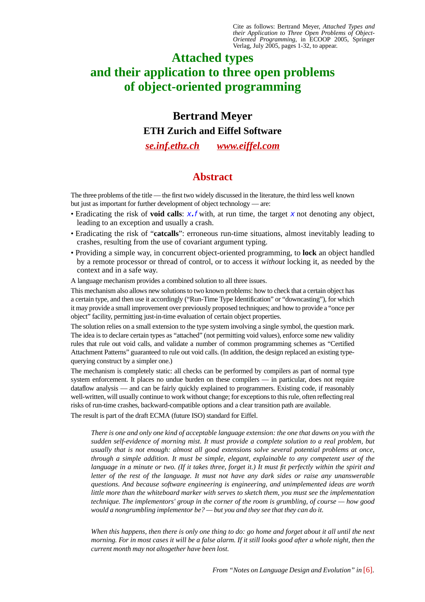Cite as follows: Bertrand Meyer, *Attached Types and their Application to Three Open Problems of Object-Oriented Programming*, in ECOOP 2005, Springer Verlag, July 2005, pages 1-32, to appear.

# **Attached types and their application to three open problems of object-oriented programming**

## **Bertrand Meyer**

**ETH Zurich and Eiffel Software**

*[se.inf.ethz.ch](http://se.inf.ethz.ch) [www.eiffel.com](http://www.eiffel.com)*

### **Abstract**

The three problems of the title — the first two widely discussed in the literature, the third less well known but just as important for further development of object technology — are:

- Eradicating the risk of **void calls**:  $x \cdot f$  with, at run time, the target x not denoting any object, leading to an exception and usually a crash.
- Eradicating the risk of "**catcalls**": erroneous run-time situations, almost inevitably leading to crashes, resulting from the use of covariant argument typing.
- Providing a simple way, in concurrent object-oriented programming, to **lock** an object handled by a remote processor or thread of control, or to access it *without* locking it, as needed by the context and in a safe way.

A language mechanism provides a combined solution to all three issues.

This mechanism also allows new solutions to two known problems: how to check that a certain object has a certain type, and then use it accordingly ("Run-Time Type Identification" or "downcasting"), for which it may provide a small improvement over previously proposed techniques; and how to provide a "once per object" facility, permitting just-in-time evaluation of certain object properties.

The solution relies on a small extension to the type system involving a single symbol, the question mark. The idea is to declare certain types as "attached" (not permitting void values), enforce some new validity rules that rule out void calls, and validate a number of common programming schemes as "Certified Attachment Patterns" guaranteed to rule out void calls. (In addition, the design replaced an existing typequerying construct by a simpler one.)

The mechanism is completely static: all checks can be performed by compilers as part of normal type system enforcement. It places no undue burden on these compilers — in particular, does not require dataflow analysis — and can be fairly quickly explained to programmers. Existing code, if reasonably well-written, will usually continue to work without change; for exceptions to this rule, often reflecting real risks of run-time crashes, backward-compatible options and a clear transition path are available. The result is part of the draft ECMA (future ISO) standard for Eiffel.

*There is one and only one kind of acceptable language extension: the one that dawns on you with the sudden self-evidence of morning mist. It must provide a complete solution to a real problem, but usually that is not enough: almost all good extensions solve several potential problems at once, through a simple addition. It must be simple, elegant, explainable to any competent user of the language in a minute or two. (If it takes three, forget it.) It must fit perfectly within the spirit and letter of the rest of the language. It must not have any dark sides or raise any unanswerable questions. And because software engineering is engineering, and unimplemented ideas are worth little more than the whiteboard marker with serves to sketch them, you must see the implementation technique. The implementors' group in the corner of the room is grumbling, of course — how good would a nongrumbling implementor be? — but you and they see that they can do it.*

*When this happens, then there is only one thing to do: go home and forget about it all until the next morning. For in most cases it will be a false alarm. If it still looks good after a whole night, then the current month may not altogether have been lost.*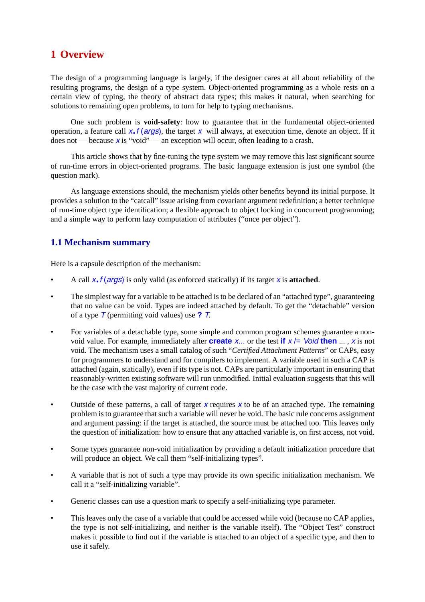# **1 Overview**

The design of a programming language is largely, if the designer cares at all about reliability of the resulting programs, the design of a type system. Object-oriented programming as a whole rests on a certain view of typing, the theory of abstract data types; this makes it natural, when searching for solutions to remaining open problems, to turn for help to typing mechanisms.

One such problem is **void-safety**: how to guarantee that in the fundamental object-oriented operation, a feature call  $x \cdot f$  (*args*), the target x will always, at execution time, denote an object. If it does not — because  $\chi$  is "void" — an exception will occur, often leading to a crash.

This article shows that by fine-tuning the type system we may remove this last significant source of run-time errors in object-oriented programs. The basic language extension is just one symbol (the question mark).

As language extensions should, the mechanism yields other benefits beyond its initial purpose. It provides a solution to the "catcall" issue arising from covariant argument redefinition; a better technique of run-time object type identification; a flexible approach to object locking in concurrent programming; and a simple way to perform lazy computation of attributes ("once per object").

### **1.1 Mechanism summary**

Here is a capsule description of the mechanism:

- A call <sup>x</sup>.<sup>f</sup> (args) is only valid (as enforced statically) if its target <sup>x</sup> is **attached**.
- The simplest way for a variable to be attached is to be declared of an "attached type", guaranteeing that no value can be void. Types are indeed attached by default. To get the "detachable" version of a type <sup>T</sup> (permitting void values) use **?** <sup>T</sup>.
- For variables of a detachable type, some simple and common program schemes guarantee a nonvoid value. For example, immediately after **create** x... or the test **if**  $x$  /= Void **then** ..., x is not void. The mechanism uses a small catalog of such "*Certified Attachment Patterns*" or CAPs, easy for programmers to understand and for compilers to implement. A variable used in such a CAP is attached (again, statically), even if its type is not. CAPs are particularly important in ensuring that reasonably-written existing software will run unmodified. Initial evaluation suggests that this will be the case with the vast majority of current code.
- Outside of these patterns, a call of target  $x$  requires  $x$  to be of an attached type. The remaining problem is to guarantee that such a variable will never be void. The basic rule concerns assignment and argument passing: if the target is attached, the source must be attached too. This leaves only the question of initialization: how to ensure that any attached variable is, on first access, not void.
- Some types guarantee non-void initialization by providing a default initialization procedure that will produce an object. We call them "self-initializing types".
- A variable that is not of such a type may provide its own specific initialization mechanism. We call it a "self-initializing variable".
- Generic classes can use a question mark to specify a self-initializing type parameter.
- This leaves only the case of a variable that could be accessed while void (because no CAP applies, the type is not self-initializing, and neither is the variable itself). The "Object Test" construct makes it possible to find out if the variable is attached to an object of a specific type, and then to use it safely.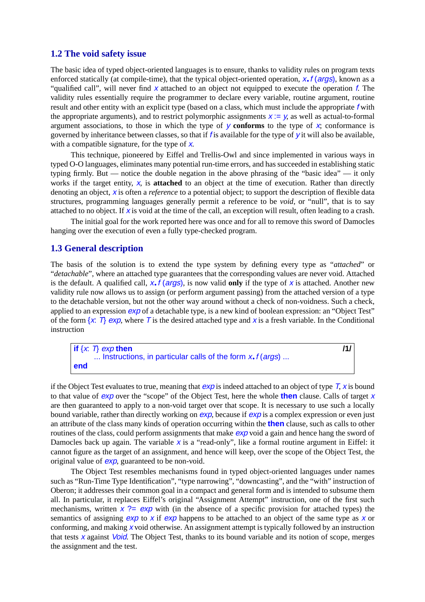### **1.2 The void safety issue**

The basic idea of typed object-oriented languages is to ensure, thanks to validity rules on program texts enforced statically (at compile-time), that the typical object-oriented operation,  $x \cdot f \cdot (args)$ , known as a "qualified call", will never find  $x$  attached to an object not equipped to execute the operation  $f$ . The validity rules essentially require the programmer to declare every variable, routine argument, routine result and other entity with an explicit type (based on a class, which must include the appropriate f with the appropriate arguments), and to restrict polymorphic assignments  $x := y$ , as well as actual-to-formal argument associations, to those in which the type of  $\vee$  **conforms** to the type of x; conformance is governed by inheritance between classes, so that if f is available for the type of  $\gamma$  it will also be available, with a compatible signature, for the type of  $\chi$ .

This technique, pioneered by Eiffel and Trellis-Owl and since implemented in various ways in typed O-O languages, eliminates many potential run-time errors, and has succeeded in establishing static typing firmly. But — notice the double negation in the above phrasing of the "basic idea" — it only works if the target entity,  $x$ , is **attached** to an object at the time of execution. Rather than directly denoting an object, <sup>x</sup> is often a *reference* to a potential object; to support the description of flexible data structures, programming languages generally permit a reference to be *void*, or "null", that is to say attached to no object. If  $x$  is void at the time of the call, an exception will result, often leading to a crash.

The initial goal for the work reported here was once and for all to remove this sword of Damocles hanging over the execution of even a fully type-checked program.

#### **1.3 General description**

The basis of the solution is to extend the type system by defining every type as "*attached*" or "*detachable*", where an attached type guarantees that the corresponding values are never void. Attached is the default. A qualified call,  $x \cdot f$  (*args*), is now valid only if the type of x is attached. Another new validity rule now allows us to assign (or perform argument passing) from the attached version of a type to the detachable version, but not the other way around without a check of non-voidness. Such a check, applied to an expression  $exp$  of a detachable type, is a new kind of boolean expression: an "Object Test" of the form  $\{x: \tau\}$  exp, where T is the desired attached type and x is a fresh variable. In the Conditional instruction



if the Object Test evaluates to true, meaning that  $\exp$  is indeed attached to an object of type  $\overline{I}$ , x is bound to that value of exp over the "scope" of the Object Test, here the whole **then** clause. Calls of target <sup>x</sup> are then guaranteed to apply to a non-void target over that scope. It is necessary to use such a locally bound variable, rather than directly working on  $exp$ , because if  $exp$  is a complex expression or even just an attribute of the class many kinds of operation occurring within the **then** clause, such as calls to other routines of the class, could perform assignments that make  $exp$  void a gain and hence hang the sword of Damocles back up again. The variable  $x$  is a "read-only", like a formal routine argument in Eiffel: it cannot figure as the target of an assignment, and hence will keep, over the scope of the Object Test, the original value of exp, guaranteed to be non-void.

The Object Test resembles mechanisms found in typed object-oriented languages under names such as "Run-Time Type Identification", "type narrowing", "downcasting", and the "with" instruction of Oberon; it addresses their common goal in a compact and general form and is intended to subsume them all. In particular, it replaces Eiffel's original "Assignment Attempt" instruction, one of the first such mechanisms, written  $x$  ?=  $\exp$  with (in the absence of a specific provision for attached types) the semantics of assigning  $exp$  to x if  $exp$  happens to be attached to an object of the same type as x or conforming, and making <sup>x</sup> void otherwise. An assignment attempt is typically followed by an instruction that tests  $x$  against *Void*. The Object Test, thanks to its bound variable and its notion of scope, merges the assignment and the test.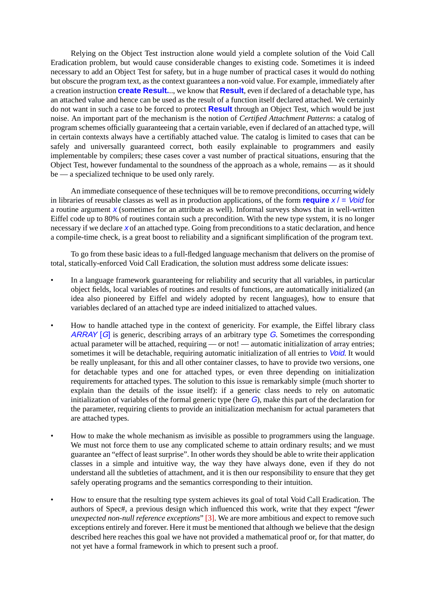Relying on the Object Test instruction alone would yield a complete solution of the Void Call Eradication problem, but would cause considerable changes to existing code. Sometimes it is indeed necessary to add an Object Test for safety, but in a huge number of practical cases it would do nothing but obscure the program text, as the context guarantees a non-void value. For example, immediately after a creation instruction **create Result.**.., we know that **Result**, even if declared of a detachable type, has an attached value and hence can be used as the result of a function itself declared attached. We certainly do not want in such a case to be forced to protect **Result** through an Object Test, which would be just noise. An important part of the mechanism is the notion of *Certified Attachment Patterns*: a catalog of program schemes officially guaranteeing that a certain variable, even if declared of an attached type, will in certain contexts always have a certifiably attached value. The catalog is limited to cases that can be safely and universally guaranteed correct, both easily explainable to programmers and easily implementable by compilers; these cases cover a vast number of practical situations, ensuring that the Object Test, however fundamental to the soundness of the approach as a whole, remains — as it should be — a specialized technique to be used only rarely.

An immediate consequence of these techniques will be to remove preconditions, occurring widely in libraries of reusable classes as well as in production applications, of the form **require**  $x$  / = *Void* for a routine argument  $x$  (sometimes for an attribute as well). Informal surveys shows that in well-written Eiffel code up to 80% of routines contain such a precondition. With the new type system, it is no longer necessary if we declare  $x$  of an attached type. Going from preconditions to a static declaration, and hence a compile-time check, is a great boost to reliability and a significant simplification of the program text.

To go from these basic ideas to a full-fledged language mechanism that delivers on the promise of total, statically-enforced Void Call Eradication, the solution must address some delicate issues:

- In a language framework guaranteeing for reliability and security that all variables, in particular object fields, local variables of routines and results of functions, are automatically initialized (an idea also pioneered by Eiffel and widely adopted by recent languages), how to ensure that variables declared of an attached type are indeed initialized to attached values.
- How to handle attached type in the context of genericity. For example, the Eiffel library class ARRAY  $[G]$  is generic, describing arrays of an arbitrary type  $G$ . Sometimes the corresponding actual parameter will be attached, requiring — or not! — automatic initialization of array entries; sometimes it will be detachable, requiring automatic initialization of all entries to *Void*. It would be really unpleasant, for this and all other container classes, to have to provide two versions, one for detachable types and one for attached types, or even three depending on initialization requirements for attached types. The solution to this issue is remarkably simple (much shorter to explain than the details of the issue itself): if a generic class needs to rely on automatic initialization of variables of the formal generic type (here  $\tilde{G}$ ), make this part of the declaration for the parameter, requiring clients to provide an initialization mechanism for actual parameters that are attached types.
- How to make the whole mechanism as invisible as possible to programmers using the language. We must not force them to use any complicated scheme to attain ordinary results; and we must guarantee an "effect of least surprise". In other words they should be able to write their application classes in a simple and intuitive way, the way they have always done, even if they do not understand all the subtleties of attachment, and it is then our responsibility to ensure that they get safely operating programs and the semantics corresponding to their intuition.
- How to ensure that the resulting type system achieves its goal of total Void Call Eradication. The authors of Spec#, a previous design which influenced this work, write that they expect "*fewer unexpected non-null reference exceptions*" [\[3\]](#page-25-1). We are more ambitious and expect to remove such exceptions entirely and forever. Here it must be mentioned that although we believe that the design described here reaches this goal we have not provided a mathematical proof or, for that matter, do not yet have a formal framework in which to present such a proof.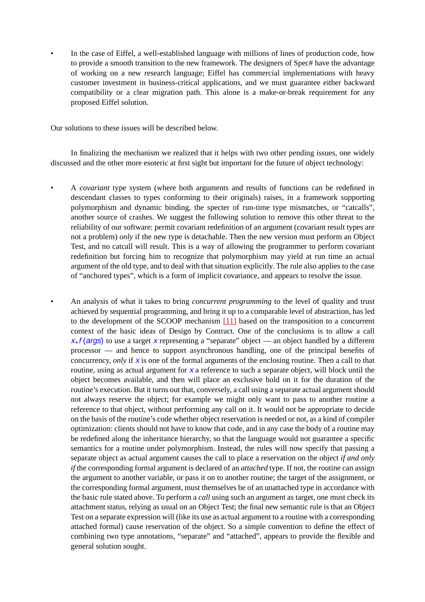• In the case of Eiffel, a well-established language with millions of lines of production code, how to provide a smooth transition to the new framework. The designers of Spec# have the advantage of working on a new research language; Eiffel has commercial implementations with heavy customer investment in business-critical applications, and we must guarantee either backward compatibility or a clear migration path. This alone is a make-or-break requirement for any proposed Eiffel solution.

Our solutions to these issues will be described below.

In finalizing the mechanism we realized that it helps with two other pending issues, one widely discussed and the other more esoteric at first sight but important for the future of object technology:

- A *covariant* type system (where both arguments and results of functions can be redefined in descendant classes to types conforming to their originals) raises, in a framework supporting polymorphism and dynamic binding, the specter of run-time type mismatches, or "catcalls", another source of crashes. We suggest the following solution to remove this other threat to the reliability of our software: permit covariant redefinition of an argument (covariant result types are not a problem) *only* if the new type is detachable. Then the new version must perform an Object Test, and no catcall will result. This is a way of allowing the programmer to perform covariant redefinition but forcing him to recognize that polymorphism may yield at run time an actual argument of the old type, and to deal with that situation explicitly. The rule also applies to the case of "anchored types", which is a form of implicit covariance, and appears to resolve the issue.
- An analysis of what it takes to bring *concurrent programming* to the level of quality and trust achieved by sequential programming, and bring it up to a comparable level of abstraction, has led to the development of the SCOOP mechanism [\[11\]](#page-25-2) based on the transposition to a concurrent context of the basic ideas of Design by Contract. One of the conclusions is to allow a call  $x, f \, (args)$  to use a target x representing a "separate" object — an object handled by a different processor — and hence to support asynchronous handling, one of the principal benefits of concurrency, *only* if  $x$  is one of the formal arguments of the enclosing routine. Then a call to that routine, using as actual argument for  $x$  a reference to such a separate object, will block until the object becomes available, and then will place an exclusive hold on it for the duration of the routine's execution. But it turns out that, conversely, a call using a separate actual argument should not always reserve the object; for example we might only want to pass to another routine a reference to that object, without performing any call on it. It would not be appropriate to decide on the basis of the routine's code whether object reservation is needed or not, as a kind of compiler optimization: clients should not have to know that code, and in any case the body of a routine may be redefined along the inheritance hierarchy, so that the language would not guarantee a specific semantics for a routine under polymorphism. Instead, the rules will now specify that passing a separate object as actual argument causes the call to place a reservation on the object *if and only if* the corresponding formal argument is declared of an *attached* type. If not, the routine can assign the argument to another variable, or pass it on to another routine; the target of the assignment, or the corresponding formal argument, must themselves be of an unattached type in accordance with the basic rule stated above. To perform a *call* using such an argument as target, one must check its attachment status, relying as usual on an Object Test; the final new semantic rule is that an Object Test on a separate expression will (like its use as actual argument to a routine with a corresponding attached formal) cause reservation of the object. So a simple convention to define the effect of combining two type annotations, "separate" and "attached", appears to provide the flexible and general solution sought.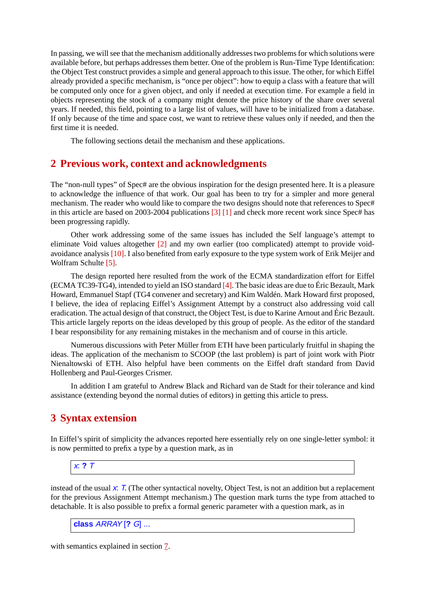In passing, we will see that the mechanism additionally addresses two problems for which solutions were available before, but perhaps addresses them better. One of the problem is Run-Time Type Identification: the Object Test construct provides a simple and general approach to this issue. The other, for which Eiffel already provided a specific mechanism, is "once per object": how to equip a class with a feature that will be computed only once for a given object, and only if needed at execution time. For example a field in objects representing the stock of a company might denote the price history of the share over several years. If needed, this field, pointing to a large list of values, will have to be initialized from a database. If only because of the time and space cost, we want to retrieve these values only if needed, and then the first time it is needed.

The following sections detail the mechanism and these applications.

# **2 Previous work, context and acknowledgments**

The "non-null types" of Spec# are the obvious inspiration for the design presented here. It is a pleasure to acknowledge the influence of that work. Our goal has been to try for a simpler and more general mechanism. The reader who would like to compare the two designs should note that references to Spec# in this article are based on 2003-2004 publications [\[3\]](#page-25-1) [\[1\]](#page-25-3) and check more recent work since Spec# has been progressing rapidly.

Other work addressing some of the same issues has included the Self language's attempt to eliminate Void values altogether [\[2\]](#page-25-4) and my own earlier (too complicated) attempt to provide voidavoidance analysis [\[10\].](#page-25-5) I also benefited from early exposure to the type system work of Erik Meijer and Wolfram Schulte [\[5\]](#page-25-6).

The design reported here resulted from the work of the ECMA standardization effort for Eiffel (ECMA TC39-TG4), intended to yield an ISO standard [\[4\].](#page-25-7) The basic ideas are due to Éric Bezault, Mark Howard, Emmanuel Stapf (TG4 convener and secretary) and Kim Waldén. Mark Howard first proposed, I believe, the idea of replacing Eiffel's Assignment Attempt by a construct also addressing void call eradication. The actual design of that construct, the Object Test, is due to Karine Arnout and Éric Bezault. This article largely reports on the ideas developed by this group of people. As the editor of the standard I bear responsibility for any remaining mistakes in the mechanism and of course in this article.

Numerous discussions with Peter Müller from ETH have been particularly fruitful in shaping the ideas. The application of the mechanism to SCOOP (the last problem) is part of joint work with Piotr Nienaltowski of ETH. Also helpful have been comments on the Eiffel draft standard from David Hollenberg and Paul-Georges Crismer.

In addition I am grateful to Andrew Black and Richard van de Stadt for their tolerance and kind assistance (extending beyond the normal duties of editors) in getting this article to press.

# **3 Syntax extension**

In Eiffel's spirit of simplicity the advances reported here essentially rely on one single-letter symbol: it is now permitted to prefix a type by a question mark, as in

<sup>x</sup>: **?** T

instead of the usual  $\chi$ :  $\overline{I}$ . (The other syntactical novelty, Object Test, is not an addition but a replacement for the previous Assignment Attempt mechanism.) The question mark turns the type from attached to detachable. It is also possible to prefix a formal generic parameter with a question mark, as in

**class** ARRAY [**?** G] ...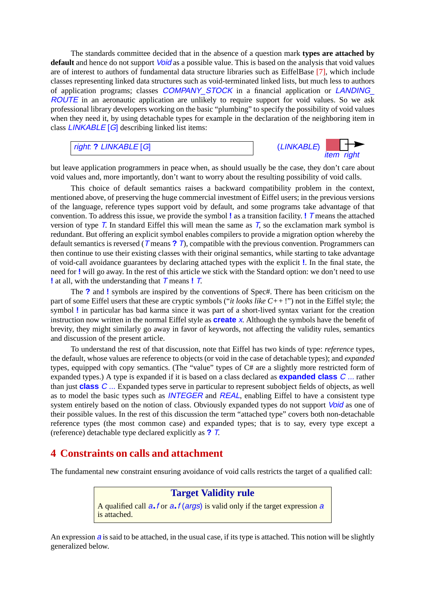The standards committee decided that in the absence of a question mark **types are attached by default** and hence do not support *Void* as a possible value. This is based on the analysis that void values are of interest to authors of fundamental data structure libraries such as EiffelBase [\[7\],](#page-25-8) which include classes representing linked data structures such as void-terminated linked lists, but much less to authors of application programs; classes *COMPANY\_STOCK* in a financial application or *LANDING* ROUTE in an aeronautic application are unlikely to require support for void values. So we ask professional library developers working on the basic "plumbing" to specify the possibility of void values when they need it, by using detachable types for example in the declaration of the neighboring item in class LINKABLE [G] describing linked list items:

right: **?** LINKABLE [G]



but leave application programmers in peace when, as should usually be the case, they don't care about void values and, more importantly, don't want to worry about the resulting possibility of void calls.

This choice of default semantics raises a backward compatibility problem in the context, mentioned above, of preserving the huge commercial investment of Eiffel users; in the previous versions of the language, reference types support void by default, and some programs take advantage of that convention. To address this issue, we provide the symbol **!** as a transition facility. **!** <sup>T</sup> means the attached version of type  $\overline{T}$ . In standard Eiffel this will mean the same as  $\overline{T}$ , so the exclamation mark symbol is redundant. But offering an explicit symbol enables compilers to provide a migration option whereby the default semantics is reversed (<sup>T</sup> means **?** <sup>T</sup>), compatible with the previous convention. Programmers can then continue to use their existing classes with their original semantics, while starting to take advantage of void-call avoidance guarantees by declaring attached types with the explicit **!**. In the final state, the need for **!** will go away. In the rest of this article we stick with the Standard option: we don't need to use **!** at all, with the understanding that <sup>T</sup> means **!** T.

The **?** and **!** symbols are inspired by the conventions of Spec#. There has been criticism on the part of some Eiffel users that these are cryptic symbols ("*it looks like C++*!") not in the Eiffel style; the symbol **!** in particular has bad karma since it was part of a short-lived syntax variant for the creation instruction now written in the normal Eiffel style as **create** <sup>x</sup>. Although the symbols have the benefit of brevity, they might similarly go away in favor of keywords, not affecting the validity rules, semantics and discussion of the present article.

To understand the rest of that discussion, note that Eiffel has two kinds of type: *reference* types, the default, whose values are reference to objects (or void in the case of detachable types); and *expanded* types, equipped with copy semantics. (The "value" types of C# are a slightly more restricted form of expanded types.) A type is expanded if it is based on a class declared as **expanded class** C ... rather than just **class** C ... Expanded types serve in particular to represent subobject fields of objects, as well as to model the basic types such as *INTEGER* and *REAL*, enabling Eiffel to have a consistent type system entirely based on the notion of class. Obviously expanded types do not support *Void* as one of their possible values. In the rest of this discussion the term "attached type" covers both non-detachable reference types (the most common case) and expanded types; that is to say, every type except a (reference) detachable type declared explicitly as **?** T.

### **4 Constraints on calls and attachment**

The fundamental new constraint ensuring avoidance of void calls restricts the target of a qualified call:

**Target Validity rule** A qualified call  $a$ , f or  $a$ , f (args) is valid only if the target expression a is attached.

An expression a is said to be attached, in the usual case, if its type is attached. This notion will be slightly generalized below.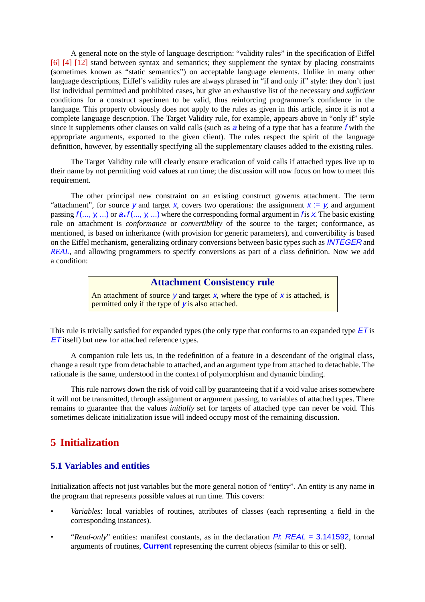A general note on the style of language description: "validity rules" in the specification of Eiffel [\[6\]](#page-25-0) [\[4\]](#page-25-7) [\[12\]](#page-25-9) stand between syntax and semantics; they supplement the syntax by placing constraints (sometimes known as "static semantics") on acceptable language elements. Unlike in many other language descriptions, Eiffel's validity rules are always phrased in "if and only if" style: they don't just list individual permitted and prohibited cases, but give an exhaustive list of the necessary *and sufficient* conditions for a construct specimen to be valid, thus reinforcing programmer's confidence in the language. This property obviously does not apply to the rules as given in this article, since it is not a complete language description. The Target Validity rule, for example, appears above in "only if" style since it supplements other clauses on valid calls (such as  $\alpha$  being of a type that has a feature f with the appropriate arguments, exported to the given client). The rules respect the spirit of the language definition, however, by essentially specifying all the supplementary clauses added to the existing rules.

The Target Validity rule will clearly ensure eradication of void calls if attached types live up to their name by not permitting void values at run time; the discussion will now focus on how to meet this requirement.

The other principal new constraint on an existing construct governs attachment. The term "attachment", for source y and target x, covers two operations: the assignment  $x := y$ , and argument passing  $f(..., y, ...)$  or  $a.f(..., y, ...)$  where the corresponding formal argument in f is x. The basic existing rule on attachment is *conformance* or *convertibility* of the source to the target; conformance, as mentioned, is based on inheritance (with provision for generic parameters), and convertibility is based on the Eiffel mechanism, generalizing ordinary conversions between basic types such as INTEGER and *REAL*, and allowing programmers to specify conversions as part of a class definition. Now we add a condition:

### **Attachment Consistency rule**

An attachment of source  $y$  and target  $x$ , where the type of  $x$  is attached, is permitted only if the type of y is also attached.

This rule is trivially satisfied for expanded types (the only type that conforms to an expanded type  $ET$  is ET itself) but new for attached reference types.

A companion rule lets us, in the redefinition of a feature in a descendant of the original class, change a result type from detachable to attached, and an argument type from attached to detachable. The rationale is the same, understood in the context of polymorphism and dynamic binding.

This rule narrows down the risk of void call by guaranteeing that if a void value arises somewhere it will not be transmitted, through assignment or argument passing, to variables of attached types. There remains to guarantee that the values *initially* set for targets of attached type can never be void. This sometimes delicate initialization issue will indeed occupy most of the remaining discussion.

# **5 Initialization**

### **5.1 Variables and entities**

Initialization affects not just variables but the more general notion of "entity". An entity is any name in the program that represents possible values at run time. This covers:

- *Variables*: local variables of routines, attributes of classes (each representing a field in the corresponding instances).
- "*Read-only*" entities: manifest constants, as in the declaration Pi: REAL = 3.141592, formal arguments of routines, **Current** representing the current objects (similar to this or self).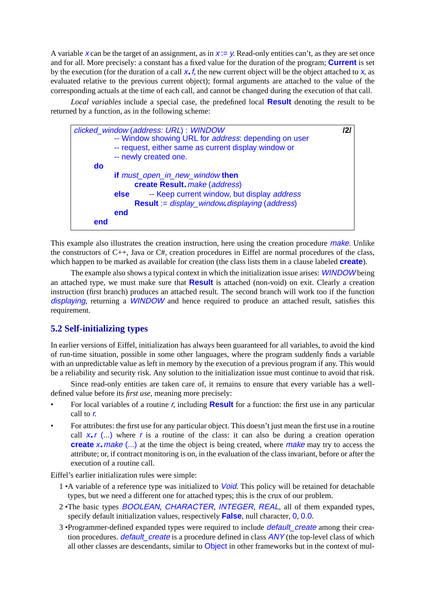A variable x can be the target of an assignment, as in  $x := y$ . Read-only entities can't, as they are set once and for all. More precisely: a constant has a fixed value for the duration of the program; **Current** is set by the execution (for the duration of a call  $x$ , f, the new current object will be the object attached to  $x$ , as evaluated relative to the previous current object); formal arguments are attached to the value of the corresponding actuals at the time of each call, and cannot be changed during the execution of that call.

*Local variables* include a special case, the predefined local **Result** denoting the result to be returned by a function, as in the following scheme:

```
clicked_window (address: URL) : WINDOW /2/
          -- Window showing URL for address: depending on user
         -- request, either same as current display window or
         -- newly created one.
    do
         if must open in new window then
              create Result.make (address)
         else -- Keep current window, but display address
              Result := display_window.displaying (address)
         end
    end
```
This example also illustrates the creation instruction, here using the creation procedure make. Unlike the constructors of C++, Java or C#, creation procedures in Eiffel are normal procedures of the class, which happen to be marked as available for creation (the class lists them in a clause labeled **create**).

The example also shows a typical context in which the initialization issue arises: WINDOW being an attached type, we must make sure that **Result** is attached (non-void) on exit. Clearly a creation instruction (first branch) produces an attached result. The second branch will work too if the function displaying, returning a *WINDOW* and hence required to produce an attached result, satisfies this requirement.

### **5.2 Self-initializing types**

In earlier versions of Eiffel, initialization has always been guaranteed for all variables, to avoid the kind of run-time situation, possible in some other languages, where the program suddenly finds a variable with an unpredictable value as left in memory by the execution of a previous program if any. This would be a reliability and security risk. Any solution to the initialization issue must continue to avoid that risk.

Since read-only entities are taken care of, it remains to ensure that every variable has a welldefined value before its *first use*, meaning more precisely:

- For local variables of a routine r, including **Result** for a function: the first use in any particular call to r.
- For attributes: the first use for any particular object. This doesn't just mean the first use in a routine call  $x, r$  (...) where r is a routine of the class: it can also be during a creation operation **create** x. make  $(...)$  at the time the object is being created, where make may try to access the attribute; or, if contract monitoring is on, in the evaluation of the class invariant, before or after the execution of a routine call.

Eiffel's earlier initialization rules were simple:

- 1 •A variable of a reference type was initialized to *Void*. This policy will be retained for detachable types, but we need a different one for attached types; this is the crux of our problem.
- <span id="page-8-0"></span>2 •The basic types BOOLEAN, CHARACTER, INTEGER, REAL, all of them expanded types, specify default initialization values, respectively **False**, null character, 0, 0.0.
- <span id="page-8-1"></span>3 •Programmer-defined expanded types were required to include *default create* among their creation procedures. *default\_create* is a procedure defined in class  $\overrightarrow{ANY}$  (the top-level class of which all other classes are descendants, similar to Object in other frameworks but in the context of mul-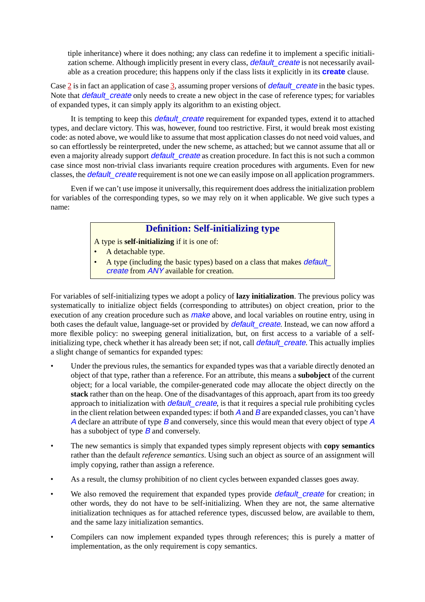tiple inheritance) where it does nothing; any class can redefine it to implement a specific initialization scheme. Although implicitly present in every class, *default create* is not necessarily available as a creation procedure; this happens only if the class lists it explicitly in its **create** clause.

Case  $\frac{2}{2}$  $\frac{2}{2}$  $\frac{2}{2}$  is in fact an application of case  $\frac{3}{2}$  $\frac{3}{2}$  $\frac{3}{2}$ , assuming proper versions of *default\_create* in the basic types. Note that *default* create only needs to create a new object in the case of reference types; for variables of expanded types, it can simply apply its algorithm to an existing object.

It is tempting to keep this *default\_create* requirement for expanded types, extend it to attached types, and declare victory. This was, however, found too restrictive. First, it would break most existing code: as noted above, we would like to assume that most application classes do not need void values, and so can effortlessly be reinterpreted, under the new scheme, as attached; but we cannot assume that all or even a majority already support *default\_create* as creation procedure. In fact this is not such a common case since most non-trivial class invariants require creation procedures with arguments. Even for new classes, the *default* create requirement is not one we can easily impose on all application programmers.

Even if we can't use impose it universally, this requirement does address the initialization problem for variables of the corresponding types, so we may rely on it when applicable. We give such types a name:

### **Definition: Self-initializing type**

- A type is **self-initializing** if it is one of:
- A detachable type.
- A type (including the basic types) based on a class that makes default\_ create from ANY available for creation.

For variables of self-initializing types we adopt a policy of **lazy initialization**. The previous policy was systematically to initialize object fields (corresponding to attributes) on object creation, prior to the execution of any creation procedure such as *make* above, and local variables on routine entry, using in both cases the default value, language-set or provided by *default\_create*. Instead, we can now afford a more flexible policy: no sweeping general initialization, but, on first access to a variable of a selfinitializing type, check whether it has already been set; if not, call *default\_create*. This actually implies a slight change of semantics for expanded types:

- Under the previous rules, the semantics for expanded types was that a variable directly denoted an object of that type, rather than a reference. For an attribute, this means a **subobject** of the current object; for a local variable, the compiler-generated code may allocate the object directly on the **stack** rather than on the heap. One of the disadvantages of this approach, apart from its too greedy approach to initialization with *default\_create*, is that it requires a special rule prohibiting cycles in the client relation between expanded types: if both  $\overline{A}$  and  $\overline{B}$  are expanded classes, you can't have A declare an attribute of type  $\tilde{B}$  and conversely, since this would mean that every object of type  $\tilde{A}$ has a subobject of type  $\overline{B}$  and conversely.
- The new semantics is simply that expanded types simply represent objects with **copy semantics** rather than the default *reference semantics*. Using such an object as source of an assignment will imply copying, rather than assign a reference.
- As a result, the clumsy prohibition of no client cycles between expanded classes goes away.
- We also removed the requirement that expanded types provide *default create* for creation; in other words, they do not have to be self-initializing. When they are not, the same alternative initialization techniques as for attached reference types, discussed below, are available to them, and the same lazy initialization semantics.
- Compilers can now implement expanded types through references; this is purely a matter of implementation, as the only requirement is copy semantics.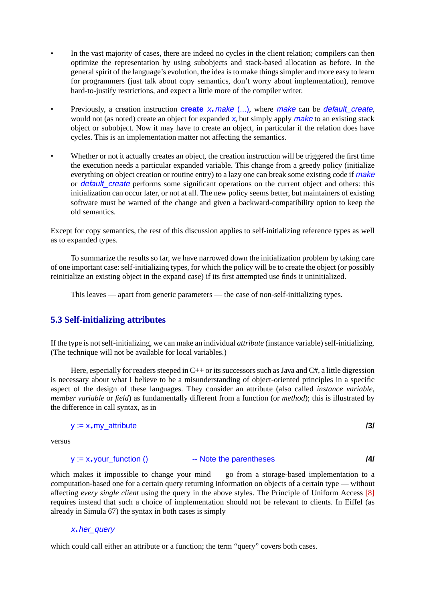- In the vast majority of cases, there are indeed no cycles in the client relation; compilers can then optimize the representation by using subobjects and stack-based allocation as before. In the general spirit of the language's evolution, the idea is to make things simpler and more easy to learn for programmers (just talk about copy semantics, don't worry about implementation), remove hard-to-justify restrictions, and expect a little more of the compiler writer.
- Previously, a creation instruction **create** x, make (...), where make can be default create, would not (as noted) create an object for expanded  $x$ , but simply apply make to an existing stack object or subobject. Now it may have to create an object, in particular if the relation does have cycles. This is an implementation matter not affecting the semantics.
- Whether or not it actually creates an object, the creation instruction will be triggered the first time the execution needs a particular expanded variable. This change from a greedy policy (initialize everything on object creation or routine entry) to a lazy one can break some existing code if make or *default* create performs some significant operations on the current object and others: this initialization can occur later, or not at all. The new policy seems better, but maintainers of existing software must be warned of the change and given a backward-compatibility option to keep the old semantics.

Except for copy semantics, the rest of this discussion applies to self-initializing reference types as well as to expanded types.

To summarize the results so far, we have narrowed down the initialization problem by taking care of one important case: self-initializing types, for which the policy will be to create the object (or possibly reinitialize an existing object in the expand case) if its first attempted use finds it uninitialized.

This leaves — apart from generic parameters — the case of non-self-initializing types.

### **5.3 Self-initializing attributes**

If the type is not self-initializing, we can make an individual *attribute* (instance variable) self-initializing. (The technique will not be available for local variables.)

Here, especially for readers steeped in  $C_{++}$  or its successors such as Java and  $C_{+}$ , a little digression is necessary about what I believe to be a misunderstanding of object-oriented principles in a specific aspect of the design of these languages. They consider an attribute (also called *instance variable*, *member variable* or *field*) as fundamentally different from a function (or *method*); this is illustrated by the difference in call syntax, as in

$$
y := x \cdot my_{\text{attribute}}
$$

<span id="page-10-1"></span><span id="page-10-0"></span>versus

$$
y := x \cdot your\_function()
$$
 -- Note the parentheses

which makes it impossible to change your mind — go from a storage-based implementation to a computation-based one for a certain query returning information on objects of a certain type — without affecting *every single client* using the query in the above styles. The Principle of Uniform Access [\[8\]](#page-25-10) requires instead that such a choice of implementation should not be relevant to clients. In Eiffel (as already in Simula 67) the syntax in both cases is simply

#### <sup>x</sup>.her\_query

which could call either an attribute or a function; the term "query" covers both cases.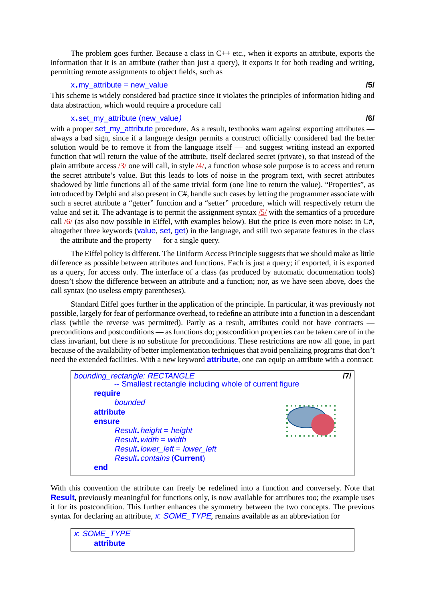The problem goes further. Because a class in  $C_{++}$  etc., when it exports an attribute, exports the information that it is an attribute (rather than just a query), it exports it for both reading and writing, permitting remote assignments to object fields, such as

#### <sup>x</sup>.my\_attribute = new\_value **/5/**

<span id="page-11-0"></span>This scheme is widely considered bad practice since it violates the principles of information hiding and data abstraction, which would require a procedure call

#### <sup>x</sup>.set\_my\_attribute (new\_value) **/6/**

<span id="page-11-1"></span>with a proper set\_my\_attribute procedure. As a result, textbooks warn against exporting attributes always a bad sign, since if a language design permits a construct officially considered bad the better solution would be to remove it from the language itself — and suggest writing instead an exported function that will return the value of the attribute, itself declared secret (private), so that instead of the plain attribute access [/3/](#page-10-0) one will call, in style [/4/](#page-10-1), a function whose sole purpose is to access and return the secret attribute's value. But this leads to lots of noise in the program text, with secret attributes shadowed by little functions all of the same trivial form (one line to return the value). "Properties", as introduced by Delphi and also present in C#, handle such cases by letting the programmer associate with such a secret attribute a "getter" function and a "setter" procedure, which will respectively return the value and set it. The advantage is to permit the assignment syntax  $\frac{1}{5}$  with the semantics of a procedure call  $/6/$  (as also now possible in Eiffel, with examples below). But the price is even more noise: in C#, altogether three keywords (value, set, get) in the language, and still two separate features in the class — the attribute and the property — for a single query.

The Eiffel policy is different. The Uniform Access Principle suggests that we should make as little difference as possible between attributes and functions. Each is just a query; if exported, it is exported as a query, for access only. The interface of a class (as produced by automatic documentation tools) doesn't show the difference between an attribute and a function; nor, as we have seen above, does the call syntax (no useless empty parentheses).

Standard Eiffel goes further in the application of the principle. In particular, it was previously not possible, largely for fear of performance overhead, to redefine an attribute into a function in a descendant class (while the reverse was permitted). Partly as a result, attributes could not have contracts preconditions and postconditions — as functions do; postcondition properties can be taken care of in the class invariant, but there is no substitute for preconditions. These restrictions are now all gone, in part because of the availability of better implementation techniques that avoid penalizing programs that don't need the extended facilities. With a new keyword **attribute**, one can equip an attribute with a contract:

| bounding_rectangle: RECTANGLE                           |  |
|---------------------------------------------------------|--|
| -- Smallest rectangle including whole of current figure |  |
| require                                                 |  |
| bounded                                                 |  |
| <b>attribute</b>                                        |  |
| ensure                                                  |  |
| <b>Result, height = height</b>                          |  |
| $Result$ <i>width</i> = width                           |  |
| Result.lower_left = lower_left                          |  |
| <b>Result.</b> contains (Current)                       |  |
| end                                                     |  |

With this convention the attribute can freely be redefined into a function and conversely. Note that **Result**, previously meaningful for functions only, is now available for attributes too; the example uses it for its postcondition. This further enhances the symmetry between the two concepts. The previous syntax for declaring an attribute,  $x$ : **SOME\_TYPE**, remains available as an abbreviation for

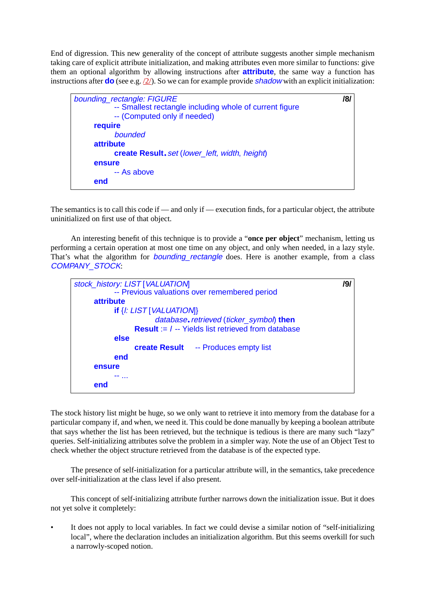End of digression. This new generality of the concept of attribute suggests another simple mechanism taking care of explicit attribute initialization, and making attributes even more similar to functions: give them an optional algorithm by allowing instructions after **attribute**, the same way a function has instructions after **do** (see e.g. [/2/\)](#page-8-2). So we can for example provide shadow with an explicit initialization:

```
bounding_rectangle: FIGURE ABI
         -- Smallest rectangle including whole of current figure
         -- (Computed only if needed)
    require
         bounded
    attribute
         create Result.set (lower_left, width, height)
    ensure
         -- As above
    end
```
The semantics is to call this code if — and only if — execution finds, for a particular object, the attribute uninitialized on first use of that object.

An interesting benefit of this technique is to provide a "**once per object**" mechanism, letting us performing a certain operation at most one time on any object, and only when needed, in a lazy style. That's what the algorithm for *bounding\_rectangle* does. Here is another example, from a class COMPANY\_STOCK:

<span id="page-12-1"></span>

The stock history list might be huge, so we only want to retrieve it into memory from the database for a particular company if, and when, we need it. This could be done manually by keeping a boolean attribute that says whether the list has been retrieved, but the technique is tedious is there are many such "lazy" queries. Self-initializing attributes solve the problem in a simpler way. Note the use of an Object Test to check whether the object structure retrieved from the database is of the expected type.

The presence of self-initialization for a particular attribute will, in the semantics, take precedence over self-initialization at the class level if also present.

This concept of self-initializing attribute further narrows down the initialization issue. But it does not yet solve it completely:

It does not apply to local variables. In fact we could devise a similar notion of "self-initializing" local", where the declaration includes an initialization algorithm. But this seems overkill for such a narrowly-scoped notion.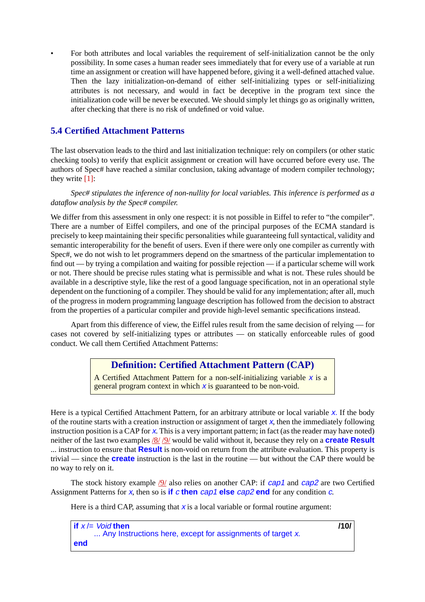• For both attributes and local variables the requirement of self-initialization cannot be the only possibility. In some cases a human reader sees immediately that for every use of a variable at run time an assignment or creation will have happened before, giving it a well-defined attached value. Then the lazy initialization-on-demand of either self-initializing types or self-initializing attributes is not necessary, and would in fact be deceptive in the program text since the initialization code will be never be executed. We should simply let things go as originally written, after checking that there is no risk of undefined or void value.

## **5.4 Certified Attachment Patterns**

The last observation leads to the third and last initialization technique: rely on compilers (or other static checking tools) to verify that explicit assignment or creation will have occurred before every use. The authors of Spec# have reached a similar conclusion, taking advantage of modern compiler technology; they write  $[1]$ :

*Spec# stipulates the inference of non-nullity for local variables. This inference is performed as a dataflow analysis by the Spec# compiler.*

We differ from this assessment in only one respect: it is not possible in Eiffel to refer to "the compiler". There are a number of Eiffel compilers, and one of the principal purposes of the ECMA standard is precisely to keep maintaining their specific personalities while guaranteeing full syntactical, validity and semantic interoperability for the benefit of users. Even if there were only one compiler as currently with Spec#, we do not wish to let programmers depend on the smartness of the particular implementation to find out — by trying a compilation and waiting for possible rejection — if a particular scheme will work or not. There should be precise rules stating what is permissible and what is not. These rules should be available in a descriptive style, like the rest of a good language specification, not in an operational style dependent on the functioning of a compiler. They should be valid for any implementation; after all, much of the progress in modern programming language description has followed from the decision to abstract from the properties of a particular compiler and provide high-level semantic specifications instead.

Apart from this difference of view, the Eiffel rules result from the same decision of relying — for cases not covered by self-initializing types or attributes — on statically enforceable rules of good conduct. We call them Certified Attachment Patterns:

## **Definition: Certified Attachment Pattern (CAP)**

A Certified Attachment Pattern for a non-self-initializing variable  $x$  is a general program context in which <sup>x</sup> is guaranteed to be non-void.

Here is a typical Certified Attachment Pattern, for an arbitrary attribute or local variable x. If the body of the routine starts with a creation instruction or assignment of target  $x$ , then the immediately following instruction position is a CAP for <sup>x</sup>. This is a very important pattern; in fact (as the reader may have noted) neither of the last two examples [/8/](#page-12-0) [/9/](#page-12-1) would be valid without it, because they rely on a **create Result** ... instruction to ensure that **Result** is non-void on return from the attribute evaluation. This property is trivial — since the **create** instruction is the last in the routine — but without the CAP there would be no way to rely on it.

The stock history example [/9/](#page-12-1) also relies on another CAP: if  $cap1$  and  $cap2$  are two Certified Assignment Patterns for x, then so is **if** c then cap1 **else** cap2 **end** for any condition c.

Here is a third CAP, assuming that  $x$  is a local variable or formal routine argument:

<span id="page-13-0"></span>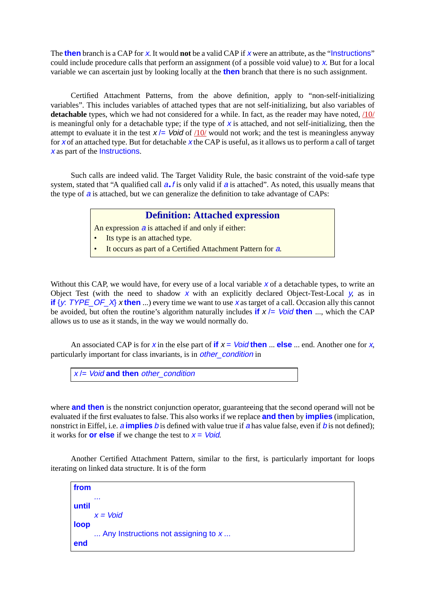The **then** branch is a CAP for <sup>x</sup>. It would **not** be a valid CAP if <sup>x</sup> were an attribute, as the "Instructions" could include procedure calls that perform an assignment (of a possible void value) to <sup>x</sup>. But for a local variable we can ascertain just by looking locally at the **then** branch that there is no such assignment.

Certified Attachment Patterns, from the above definition, apply to "non-self-initializing variables". This includes variables of attached types that are not self-initializing, but also variables of **detachable** types, which we had not considered for a while. In fact, as the reader may have noted,  $/10/$ is meaningful only for a detachable type; if the type of  $x$  is attached, and not self-initializing, then the attempt to evaluate it in the test  $x$  /= Void of [/10/](#page-13-0) would not work; and the test is meaningless anyway for <sup>x</sup> of an attached type. But for detachable <sup>x</sup> the CAP is useful, as it allows us to perform a call of target <sup>x</sup> as part of the Instructions.

Such calls are indeed valid. The Target Validity Rule, the basic constraint of the void-safe type system, stated that "A qualified call  $\vec{a}$ ,  $\vec{f}$  is only valid if  $\vec{a}$  is attached". As noted, this usually means that the type of  $a$  is attached, but we can generalize the definition to take advantage of CAPs:

### **Definition: Attached expression**

An expression a is attached if and only if either:

- Its type is an attached type.
- It occurs as part of a Certified Attachment Pattern for a.

Without this CAP, we would have, for every use of a local variable  $\chi$  of a detachable types, to write an Object Test (with the need to shadow  $x$  with an explicitly declared Object-Test-Local  $y$ , as in **if**  $\{y: TYPE \text{ OF } X\}$  x then ...) every time we want to use x as target of a call. Occasion ally this cannot be avoided, but often the routine's algorithm naturally includes **if**  $x$  /= *Void* then ..., which the CAP allows us to use as it stands, in the way we would normally do.

An associated CAP is for x in the else part of **if**  $x =$  Void then ... **else** ... end. Another one for x, particularly important for class invariants, is in *other\_condition* in

<sup>x</sup> /= Void **and then** other\_condition

where **and then** is the nonstrict conjunction operator, guaranteeing that the second operand will not be evaluated if the first evaluates to false. This also works if we replace **and then** by **implies** (implication, nonstrict in Eiffel, i.e. a **implies** b is defined with value true if a has value false, even if b is not defined); it works for **or else** if we change the test to  $x = \text{void}$ .

Another Certified Attachment Pattern, similar to the first, is particularly important for loops iterating on linked data structure. It is of the form

```
from
       ...
until
      x = Void
loop
      \ldots Any Instructions not assigning to x \ldotsend
```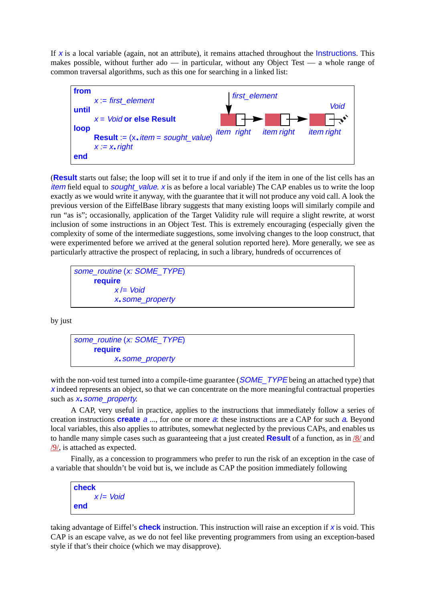If  $x$  is a local variable (again, not an attribute), it remains attached throughout the Instructions. This makes possible, without further ado — in particular, without any Object Test — a whole range of common traversal algorithms, such as this one for searching in a linked list:



(**Result** starts out false; the loop will set it to true if and only if the item in one of the list cells has an item field equal to sought\_value. x is as before a local variable) The CAP enables us to write the loop exactly as we would write it anyway, with the guarantee that it will not produce any void call. A look the previous version of the EiffelBase library suggests that many existing loops will similarly compile and run "as is"; occasionally, application of the Target Validity rule will require a slight rewrite, at worst inclusion of some instructions in an Object Test. This is extremely encouraging (especially given the complexity of some of the intermediate suggestions, some involving changes to the loop construct, that were experimented before we arrived at the general solution reported here). More generally, we see as particularly attractive the prospect of replacing, in such a library, hundreds of occurrences of

```
some_routine (x: SOME_TYPE)
     require
          x = Void
          x.some_property
```
by just

```
some_routine (x: SOME_TYPE)
    require
         x.some_property
```
with the non-void test turned into a compile-time guarantee (*SOME\_TYPE* being an attached type) that <sup>x</sup> indeed represents an object, so that we can concentrate on the more meaningful contractual properties such as **x**. some\_property.

A CAP, very useful in practice, applies to the instructions that immediately follow a series of creation instructions **create** <sup>a</sup> ..., for one or more <sup>a</sup>: these instructions are a CAP for such <sup>a</sup>. Beyond local variables, this also applies to attributes, somewhat neglected by the previous CAPs, and enables us to handle many simple cases such as guaranteeing that a just created **Result** of a function, as in [/8/](#page-12-0) and [/9/](#page-12-1), is attached as expected.

Finally, as a concession to programmers who prefer to run the risk of an exception in the case of a variable that shouldn't be void but is, we include as CAP the position immediately following

```
check
       x /= \text{Void}end
```
taking advantage of Eiffel's **check** instruction. This instruction will raise an exception if  $x$  is void. This CAP is an escape valve, as we do not feel like preventing programmers from using an exception-based style if that's their choice (which we may disapprove).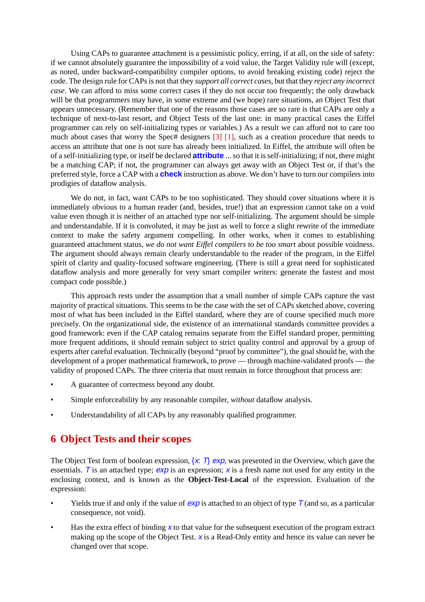Using CAPs to guarantee attachment is a pessimistic policy, erring, if at all, on the side of safety: if we cannot absolutely guarantee the impossibility of a void value, the Target Validity rule will (except, as noted, under backward-compatibility compiler options, to avoid breaking existing code) reject the code. The design rule for CAPs is not that they *support all correct cases*, but that they *reject any incorrect case*. We can afford to miss some correct cases if they do not occur too frequently; the only drawback will be that programmers may have, in some extreme and (we hope) rare situations, an Object Test that appears unnecessary. (Remember that one of the reasons those cases are so rare is that CAPs are only a technique of next-to-last resort, and Object Tests of the last one: in many practical cases the Eiffel programmer can rely on self-initializing types or variables.) As a result we can afford not to care too much about cases that worry the Spec# designers [\[3\]](#page-25-1) [\[1\]](#page-25-3), such as a creation procedure that needs to access an attribute that one is not sure has already been initialized. In Eiffel, the attribute will often be of a self-initializing type, or itself be declared **attribute** ... so that it is self-initializing; if not, there might be a matching CAP; if not, the programmer can always get away with an Object Test or, if that's the preferred style, force a CAP with a **check** instruction as above. We don't have to turn our compilers into prodigies of dataflow analysis.

We do not, in fact, want CAPs to be too sophisticated. They should cover situations where it is immediately obvious to a human reader (and, besides, true!) that an expression cannot take on a void value even though it is neither of an attached type nor self-initializing. The argument should be simple and understandable. If it is convoluted, it may be just as well to force a slight rewrite of the immediate context to make the safety argument compelling. In other works, when it comes to establishing guaranteed attachment status, *we do not want Eiffel compilers to be too smart* about possible voidness. The argument should always remain clearly understandable to the reader of the program, in the Eiffel spirit of clarity and quality-focused software engineering. (There is still a great need for sophisticated dataflow analysis and more generally for very smart compiler writers: generate the fastest and most compact code possible.)

This approach rests under the assumption that a small number of simple CAPs capture the vast majority of practical situations. This seems to be the case with the set of CAPs sketched above, covering most of what has been included in the Eiffel standard, where they are of course specified much more precisely. On the organizational side, the existence of an international standards committee provides a good framework: even if the CAP catalog remains separate from the Eiffel standard proper, permitting more frequent additions, it should remain subject to strict quality control and approval by a group of experts after careful evaluation. Technically (beyond "proof by committee"), the goal should be, with the development of a proper mathematical framework, to *prove* — through machine-validated proofs — the validity of proposed CAPs. The three criteria that must remain in force throughout that process are:

- A guarantee of correctness beyond any doubt.
- Simple enforceability by any reasonable compiler, *without* dataflow analysis.
- Understandability of all CAPs by any reasonably qualified programmer.

# **6 Object Tests and their scopes**

The Object Test form of boolean expression,  $\{x: \tau\}$  exp, was presented in the Overview, which gave the essentials. T is an attached type;  $\exp$  is an expression; x is a fresh name not used for any entity in the enclosing context, and is known as the **Object-Test-Local** of the expression. Evaluation of the expression:

- Yields true if and only if the value of  $\exp$  is attached to an object of type  $\Gamma$  (and so, as a particular consequence, not void).
- Has the extra effect of binding  $x$  to that value for the subsequent execution of the program extract making up the scope of the Object Test.  $\chi$  is a Read-Only entity and hence its value can never be changed over that scope.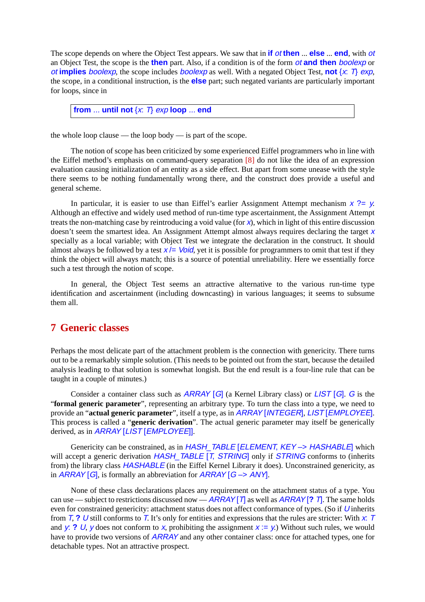The scope depends on where the Object Test appears. We saw that in **if** ot **then** ... **else** ... **end**, with ot an Object Test, the scope is the **then** part. Also, if a condition is of the form ot **and then** boolexp or ot **implies** boolexp, the scope includes boolexp as well. With a negated Object Test, not  $\{x: T\}$  exp, the scope, in a conditional instruction, is the **else** part; such negated variants are particularly important for loops, since in

**from** ... **until not**  $\{x: T\}$  *exp* **loop** ... **end** 

the whole loop clause — the loop body — is part of the scope.

The notion of scope has been criticized by some experienced Eiffel programmers who in line with the Eiffel method's emphasis on command-query separation [\[8\]](#page-25-10) do not like the idea of an expression evaluation causing initialization of an entity as a side effect. But apart from some unease with the style there seems to be nothing fundamentally wrong there, and the construct does provide a useful and general scheme.

In particular, it is easier to use than Eiffel's earlier Assignment Attempt mechanism  $x$  ?=  $y$ . Although an effective and widely used method of run-time type ascertainment, the Assignment Attempt treats the non-matching case by reintroducing a void value (for  $\chi$ ), which in light of this entire discussion doesn't seem the smartest idea. An Assignment Attempt almost always requires declaring the target  $x$ specially as a local variable; with Object Test we integrate the declaration in the construct. It should almost always be followed by a test  $x$  /= *Void*, yet it is possible for programmers to omit that test if they think the object will always match; this is a source of potential unreliability. Here we essentially force such a test through the notion of scope.

In general, the Object Test seems an attractive alternative to the various run-time type identification and ascertainment (including downcasting) in various languages; it seems to subsume them all.

### <span id="page-17-0"></span>**7 Generic classes**

Perhaps the most delicate part of the attachment problem is the connection with genericity. There turns out to be a remarkably simple solution. (This needs to be pointed out from the start, because the detailed analysis leading to that solution is somewhat longish. But the end result is a four-line rule that can be taught in a couple of minutes.)

Consider a container class such as  $ARRAY[G]$  (a Kernel Library class) or  $LIST[G]$ . G is the "**formal generic parameter**", representing an arbitrary type. To turn the class into a type, we need to provide an "**actual generic parameter**", itself a type, as in ARRAY [INTEGER], LIST [EMPLOYEE]. This process is called a "**generic derivation**". The actual generic parameter may itself be generically derived, as in ARRAY [LIST [EMPLOYEE]].

Genericity can be constrained, as in HASH\_TABLE [ELEMENT, KEY –> HASHABLE] which will accept a generic derivation *HASH\_TABLE* [T, *STRING*] only if *STRING* conforms to (inherits from) the library class HASHABLE (in the Eiffel Kernel Library it does). Unconstrained genericity, as in  $ARRAY[G]$ , is formally an abbreviation for  $ARRAY[G]$  –> ANY.

None of these class declarations places any requirement on the attachment status of a type. You can use — subject to restrictions discussed now —  $ARRAY$  [7] as well as  $ARRAY$  [? 7]. The same holds even for constrained genericity: attachment status does not affect conformance of types. (So if  $U$  inherits from  $\overline{T}$ , **?** U still conforms to  $\overline{T}$ . It's only for entities and expressions that the rules are stricter: With x:  $\overline{T}$ and  $\gamma$ : **?** U,  $\gamma$  does not conform to  $\chi$ , prohibiting the assignment  $\chi := \gamma$ .) Without such rules, we would have to provide two versions of *ARRAY* and any other container class: once for attached types, one for detachable types. Not an attractive prospect.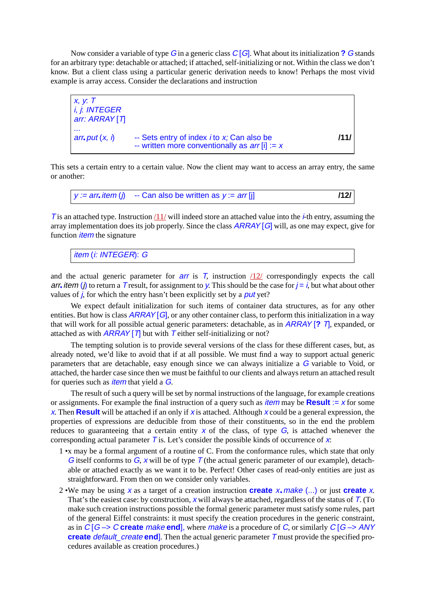Now consider a variable of type  $G$  in a generic class  $C[G]$ . What about its initialization ?  $G$  stands for an arbitrary type: detachable or attached; if attached, self-initializing or not. Within the class we don't know. But a client class using a particular generic derivation needs to know! Perhaps the most vivid example is array access. Consider the declarations and instruction



<span id="page-18-0"></span>This sets a certain entry to a certain value. Now the client may want to access an array entry, the same or another:

<span id="page-18-1"></span>
$$
y := arr\text{, item (j)} \quad -\text{Can also be written as } y := arr[j] \tag{12}
$$

T is an attached type. Instruction  $/11/\text{will}$  $/11/\text{will}$  indeed store an attached value into the *i*-th entry, assuming the array implementation does its job properly. Since the class  $ARRAY[G]$  will, as one may expect, give for function *item* the signature

item (i: INTEGER): G

and the actual generic parameter for  $\frac{\partial T}{\partial t}$  is  $\frac{\partial T}{\partial t}$  instruction  $\frac{12}{\sqrt{2}}$  correspondingly expects the call arr. item (j) to return a T result, for assignment to y. This should be the case for  $j = i$ , but what about other values of  $\vec{l}$ , for which the entry hasn't been explicitly set by a *put* yet?

We expect default initialization for such items of container data structures, as for any other entities. But how is class  $ARRAY[G]$ , or any other container class, to perform this initialization in a way that will work for all possible actual generic parameters: detachable, as in ARRAY [**?** <sup>T</sup>], expanded, or attached as with  $ARRAY [7]$  but with  $\overline{T}$  either self-initializing or not?

The tempting solution is to provide several versions of the class for these different cases, but, as already noted, we'd like to avoid that if at all possible. We must find a way to support actual generic parameters that are detachable, easy enough since we can always initialize a G variable to Void, or attached, the harder case since then we must be faithful to our clients and always return an attached result for queries such as item that yield a G.

The result of such a query will be set by normal instructions of the language, for example creations or assignments. For example the final instruction of a query such as *item* may be **Result** := x for some x. Then **Result** will be attached if an only if x is attached. Although x could be a general expression, the properties of expressions are deducible from those of their constituents, so in the end the problem reduces to guaranteeing that a certain entity  $x$  of the class, of type  $G$ , is attached whenever the corresponding actual parameter  $\overline{T}$  is. Let's consider the possible kinds of occurrence of  $\overline{x}$ :

- <span id="page-18-2"></span>1 •x may be a formal argument of a routine of C. From the conformance rules, which state that only G itself conforms to G, x will be of type  $\overline{T}$  (the actual generic parameter of our example), detachable or attached exactly as we want it to be. Perfect! Other cases of read-only entities are just as straightforward. From then on we consider only variables.
- 2 •We may be using <sup>x</sup> as a target of a creation instruction **create** <sup>x</sup>.make (...) or just **create** <sup>x</sup>. That's the easiest case: by construction,  $\chi$  will always be attached, regardless of the status of  $\tau$ . (To make such creation instructions possible the formal generic parameter must satisfy some rules, part of the general Eiffel constraints: it must specify the creation procedures in the generic constraint, as in  $C[G \rightarrow C$  **create** make **end**, where make is a procedure of C, or similarly  $C[G \rightarrow ANY]$ **create** default\_create **end**]. Then the actual generic parameter  $\overline{T}$  must provide the specified procedures available as creation procedures.)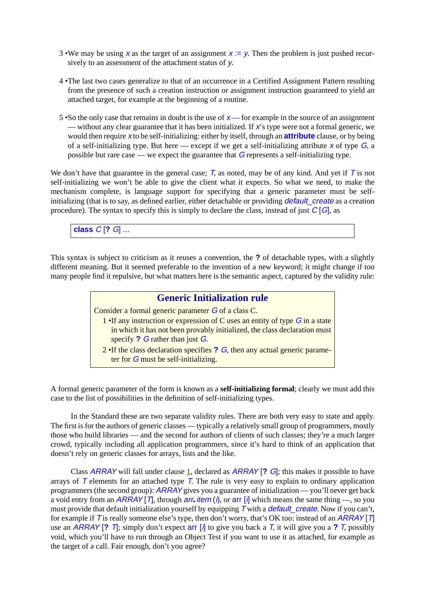- 3 •We may be using x as the target of an assignment  $x := y$ . Then the problem is just pushed recursively to an assessment of the attachment status of  $V$ .
- 4 •The last two cases generalize to that of an occurrence in a Certified Assignment Pattern resulting from the presence of such a creation instruction or assignment instruction guaranteed to yield an attached target, for example at the beginning of a routine.
- 5 •So the only case that remains in doubt is the use of  $x$  for example in the source of an assignment — without any clear guarantee that it has been initialized. If  $\chi$ 's type were not a formal generic, we would then require <sup>x</sup> to be self-initializing: either by itself, through an **attribute** clause, or by being of a self-initializing type. But here — except if we get a self-initializing attribute  $x$  of type  $G$ , a possible but rare case — we expect the guarantee that  $G$  represents a self-initializing type.

We don't have that guarantee in the general case;  $\overline{I}$ , as noted, may be of any kind. And yet if  $\overline{I}$  is not self-initializing we won't be able to give the client what it expects. So what we need, to make the mechanism complete, is language support for specifying that a generic parameter must be selfinitializing (that is to say, as defined earlier, either detachable or providing *default\_create* as a creation procedure). The syntax to specify this is simply to declare the class, instead of just  $C[G]$ , as

**class** C [**?** G] ...

This syntax is subject to criticism as it reuses a convention, the **?** of detachable types, with a slightly different meaning. But it seemed preferable to the invention of a new keyword; it might change if too many people find it repulsive, but what matters here is the semantic aspect, captured by the validity rule:

<span id="page-19-0"></span>

| <b>Generic Initialization rule</b>                                                |  |  |  |
|-----------------------------------------------------------------------------------|--|--|--|
| Consider a formal generic parameter $G$ of a class $C$ .                          |  |  |  |
| 1 • If any instruction or expression of C uses an entity of type $G$ in a state   |  |  |  |
| in which it has not been provably initialized, the class declaration must         |  |  |  |
| specify ? $G$ rather than just $G$ .                                              |  |  |  |
| $2 \cdot$ If the class declaration specifies ? G, then any actual generic parame- |  |  |  |
| ter for $G$ must be self-initializing.                                            |  |  |  |

A formal generic parameter of the form is known as a **self-initializing formal**; clearly we must add this case to the list of possibilities in the definition of self-initializing types.

In the Standard these are two separate validity rules. There are both very easy to state and apply. The first is for the authors of generic classes — typically a relatively small group of programmers, mostly those who build libraries — and the second for authors of clients of such classes; they're a much larger crowd, typically including all application programmers, since it's hard to think of an application that doesn't rely on generic classes for arrays, lists and the like.

Class ARRAY will fall under clause [1,](#page-19-0) declared as ARRAY [**?** G]; this makes it possible to have arrays of  $\overline{T}$  elements for an attached type  $\overline{T}$ . The rule is very easy to explain to ordinary application programmers (the second group): *ARRAY* gives you a guarantee of initialization — you'll never get back a void entry from an  $ARRAY [7]$ , through *arr. item* (*i*), or arr [*i*] which means the same thing —, so you must provide that default initialization yourself by equipping  $\overline{T}$  with a *default\_create*. Now if you can't, for example if T is really someone else's type, then don't worry, that's OK too: instead of an  $ARRAY$ [T] use an ARRAY [**?** <sup>T</sup>]; simply don't expect arr [i] to give you back a <sup>T</sup>, it will give you a **?** <sup>T</sup>, possibly void, which you'll have to run through an Object Test if you want to use it as attached, for example as the target of a call. Fair enough, don't you agree?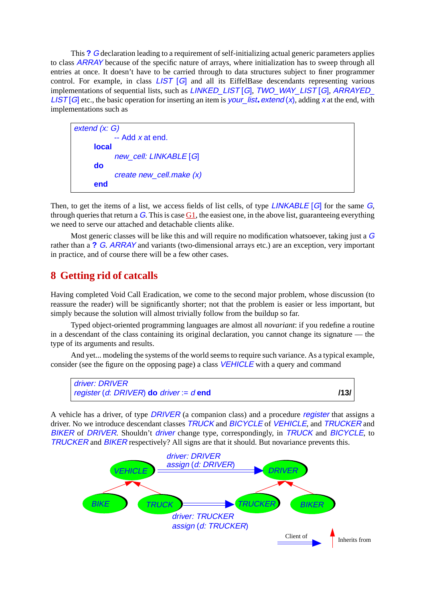This **?** G declaration leading to a requirement of self-initializing actual generic parameters applies to class ARRAY because of the specific nature of arrays, where initialization has to sweep through all entries at once. It doesn't have to be carried through to data structures subject to finer programmer control. For example, in class  $LIST [G]$  and all its EiffelBase descendants representing various implementations of sequential lists, such as LINKED\_LIST [G], TWO\_WAY\_LIST [G], ARRAYED\_ LIST [G] etc., the basic operation for inserting an item is your\_list. extend  $(x)$ , adding x at the end, with implementations such as

extend (x: G) -- Add x at end. **local** new\_cell: LINKABLE [G] **do** create new\_cell.make (x) **end**

Then, to get the items of a list, we access fields of list cells, of type  $LINKABLE [G]$  for the same G, through queries that return a  $\overline{G}$ . This is case  $\overline{G}$ , the easiest one, in the above list, guaranteeing everything we need to serve our attached and detachable clients alike.

Most generic classes will be like this and will require no modification whatsoever, taking just a  $G$ rather than a **?** G. ARRAY and variants (two-dimensional arrays etc.) are an exception, very important in practice, and of course there will be a few other cases.

# **8 Getting rid of catcalls**

Having completed Void Call Eradication, we come to the second major problem, whose discussion (to reassure the reader) will be significantly shorter; not that the problem is easier or less important, but simply because the solution will almost trivially follow from the buildup so far.

Typed object-oriented programming languages are almost all *novariant*: if you redefine a routine in a descendant of the class containing its original declaration, you cannot change its signature — the type of its arguments and results.

And yet... modeling the systems of the world seems to require such variance. As a typical example, consider (see the figure on the opposing page) a class *VEHICLE* with a query and command

<span id="page-20-0"></span>

A vehicle has a driver, of type **DRIVER** (a companion class) and a procedure *register* that assigns a driver. No we introduce descendant classes TRUCK and BICYCLE of VEHICLE, and TRUCKER and BIKER of DRIVER. Shouldn't driver change type, correspondingly, in TRUCK and BICYCLE, to TRUCKER and BIKER respectively? All signs are that it should. But novariance prevents this.

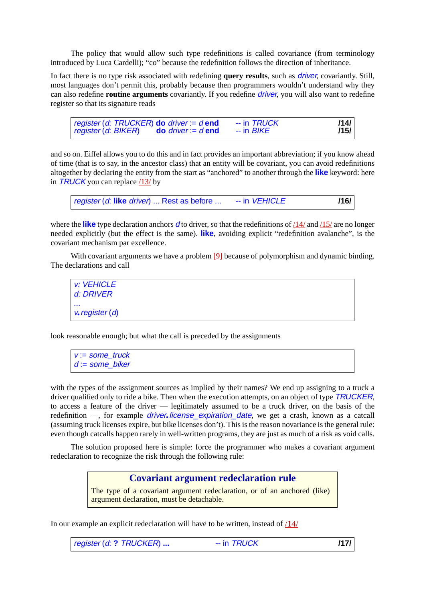The policy that would allow such type redefinitions is called covariance (from terminology introduced by Luca Cardelli); "co" because the redefinition follows the direction of inheritance.

In fact there is no type risk associated with redefining **query results**, such as driver, covariantly. Still, most languages don't permit this, probably because then programmers wouldn't understand why they can also redefine **routine arguments** covariantly. If you redefine driver, you will also want to redefine register so that its signature reads

```
register (d: TRUCKER) do driver := d end -- in TRUCK /14/
register (d. \, BIKER)
```
and so on. Eiffel allows you to do this and in fact provides an important abbreviation; if you know ahead of time (that is to say, in the ancestor class) that an entity will be covariant, you can avoid redefinitions altogether by declaring the entity from the start as "anchored" to another through the **like** keyword: here in *TRUCK* you can replace  $/13/$  by

```
register (d: like driver) ... Rest as before ... -- in VEHICLE /16/
```
where the **like** type declaration anchors  $d$  to driver, so that the redefinitions of  $/14$ / and  $/15$ / are no longer needed explicitly (but the effect is the same). **like**, avoiding explicit "redefinition avalanche", is the covariant mechanism par excellence.

With covariant arguments we have a problem [\[9\]](#page-25-11) because of polymorphism and dynamic binding. The declarations and call

v: VEHICLE d: DRIVER ... <sup>v</sup>.register (d)

look reasonable enough; but what the call is preceded by the assignments

```
v := some\_truckd := some biker
```
with the types of the assignment sources as implied by their names? We end up assigning to a truck a driver qualified only to ride a bike. Then when the execution attempts, on an object of type *TRUCKER*, to access a feature of the driver — legitimately assumed to be a truck driver, on the basis of the redefinition —, for example *driver*.license\_expiration\_date, we get a crash, known as a catcall (assuming truck licenses expire, but bike licenses don't). This is the reason novariance is the general rule: even though catcalls happen rarely in well-written programs, they are just as much of a risk as void calls.

The solution proposed here is simple: force the programmer who makes a covariant argument redeclaration to recognize the risk through the following rule:

### **Covariant argument redeclaration rule**

The type of a covariant argument redeclaration, or of an anchored (like) argument declaration, must be detachable.

In our example an explicit redeclaration will have to be written, instead of  $\frac{114}{14}$ 

```
register (d: ? TRUCKER) ... -- in TRUCK /17/
```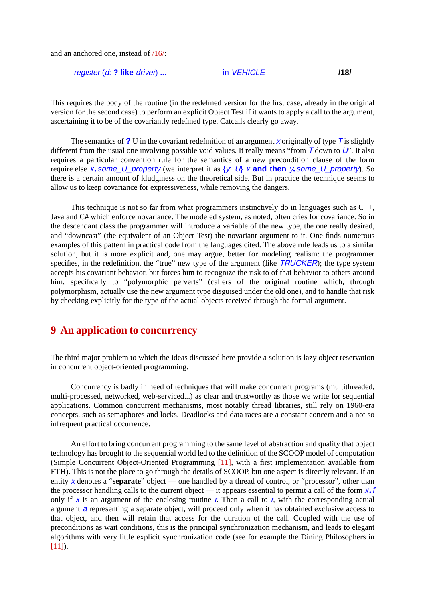and an anchored one, instead of [/16/](#page-21-2):

| register $(d: ?$ like driver $) $ | -- in VEHICLE | /18/ |
|-----------------------------------|---------------|------|
|-----------------------------------|---------------|------|

This requires the body of the routine (in the redefined version for the first case, already in the original version for the second case) to perform an explicit Object Test if it wants to apply a call to the argument, ascertaining it to be of the covariantly redefined type. Catcalls clearly go away.

The semantics of **?** U in the covariant redefinition of an argument x originally of type  $\overline{T}$  is slightly different from the usual one involving possible void values. It really means "from  $\overline{T}$  down to  $U$ ". It also requires a particular convention rule for the semantics of a new precondition clause of the form require else x. some U property (we interpret it as  $\{y: U\}$  x and then y. some U property). So there is a certain amount of kludginess on the theoretical side. But in practice the technique seems to allow us to keep covariance for expressiveness, while removing the dangers.

This technique is not so far from what programmers instinctively do in languages such as C++, Java and C# which enforce novariance. The modeled system, as noted, often cries for covariance. So in the descendant class the programmer will introduce a variable of the new type, the one really desired, and "downcast" (the equivalent of an Object Test) the novariant argument to it. One finds numerous examples of this pattern in practical code from the languages cited. The above rule leads us to a similar solution, but it is more explicit and, one may argue, better for modeling realism: the programmer specifies, in the redefinition, the "true" new type of the argument (like **TRUCKER**); the type system accepts his covariant behavior, but forces him to recognize the risk to of that behavior to others around him, specifically to "polymorphic perverts" (callers of the original routine which, through polymorphism, actually use the new argument type disguised under the old one), and to handle that risk by checking explicitly for the type of the actual objects received through the formal argument.

## **9 An application to concurrency**

The third major problem to which the ideas discussed here provide a solution is lazy object reservation in concurrent object-oriented programming.

Concurrency is badly in need of techniques that will make concurrent programs (multithreaded, multi-processed, networked, web-serviced...) as clear and trustworthy as those we write for sequential applications. Common concurrent mechanisms, most notably thread libraries, still rely on 1960-era concepts, such as semaphores and locks. Deadlocks and data races are a constant concern and a not so infrequent practical occurrence.

An effort to bring concurrent programming to the same level of abstraction and quality that object technology has brought to the sequential world led to the definition of the SCOOP model of computation (Simple Concurrent Object-Oriented Programming [\[11\]](#page-25-2), with a first implementation available from ETH). This is not the place to go through the details of SCOOP, but one aspect is directly relevant. If an entity <sup>x</sup> denotes a "**separate**" object — one handled by a thread of control, or "processor", other than the processor handling calls to the current object — it appears essential to permit a call of the form  $x \cdot f$ only if  $x$  is an argument of the enclosing routine r. Then a call to r, with the corresponding actual argument a representing a separate object, will proceed only when it has obtained exclusive access to that object, and then will retain that access for the duration of the call. Coupled with the use of preconditions as wait conditions, this is the principal synchronization mechanism, and leads to elegant algorithms with very little explicit synchronization code (see for example the Dining Philosophers in  $[11]$ ).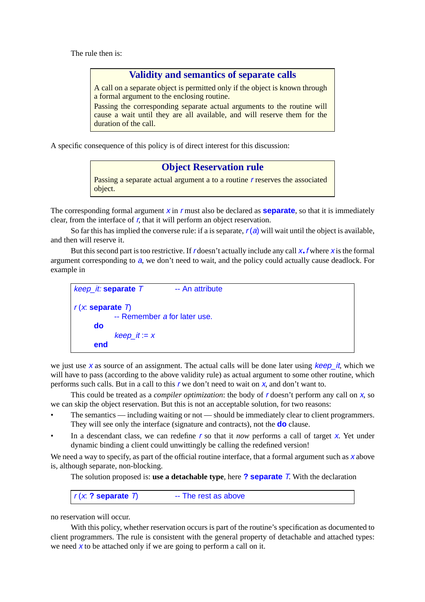The rule then is:

## **Validity and semantics of separate calls**

A call on a separate object is permitted only if the object is known through a formal argument to the enclosing routine.

Passing the corresponding separate actual arguments to the routine will cause a wait until they are all available, and will reserve them for the duration of the call.

A specific consequence of this policy is of direct interest for this discussion:

### **Object Reservation rule**

Passing a separate actual argument a to a routine r reserves the associated object.

The corresponding formal argument  $x$  in  $r$  must also be declared as **separate**, so that it is immediately clear, from the interface of  $r$ , that it will perform an object reservation.

So far this has implied the converse rule: if a is separate,  $r(a)$  will wait until the object is available, and then will reserve it.

But this second part is too restrictive. If r doesn't actually include any call  $x$ , f where x is the formal argument corresponding to  $a$ , we don't need to wait, and the policy could actually cause deadlock. For example in



we just use x as source of an assignment. The actual calls will be done later using  $keep$  it, which we will have to pass (according to the above validity rule) as actual argument to some other routine, which performs such calls. But in a call to this  $r$  we don't need to wait on  $x$ , and don't want to.

This could be treated as a *compiler optimization*: the body of  $r$  doesn't perform any call on  $x$ , so we can skip the object reservation. But this is not an acceptable solution, for two reasons:

- The semantics including waiting or not should be immediately clear to client programmers. They will see only the interface (signature and contracts), not the **do** clause.
- In a descendant class, we can redefine r so that it *now* performs a call of target x. Yet under dynamic binding a client could unwittingly be calling the redefined version!

We need a way to specify, as part of the official routine interface, that a formal argument such as  $\chi$  above is, although separate, non-blocking.

The solution proposed is: **use a detachable type**, here **? separate** <sup>T</sup>. With the declaration

```
r(x: ? \text{ separate } T) -- The rest as above
```
no reservation will occur.

With this policy, whether reservation occurs is part of the routine's specification as documented to client programmers. The rule is consistent with the general property of detachable and attached types: we need  $x$  to be attached only if we are going to perform a call on it.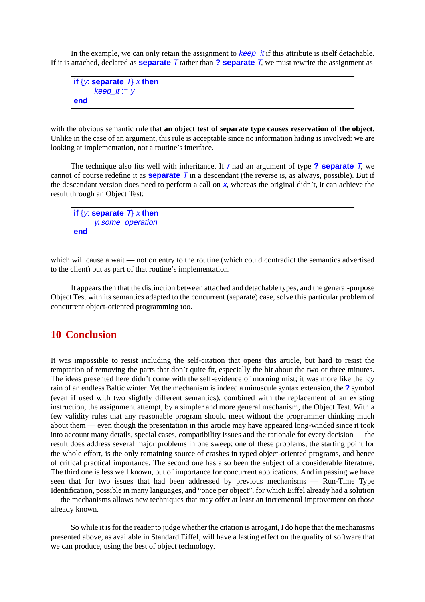In the example, we can only retain the assignment to  $\vec{k}$  and  $\vec{l}$  if this attribute is itself detachable. If it is attached, declared as **separate** <sup>T</sup> rather than **? separate** <sup>T</sup>, we must rewrite the assignment as

```
if \{v: separate T\} x then
      keep\_it := yend
```
with the obvious semantic rule that **an object test of separate type causes reservation of the object**. Unlike in the case of an argument, this rule is acceptable since no information hiding is involved: we are looking at implementation, not a routine's interface.

The technique also fits well with inheritance. If <sup>r</sup> had an argument of type **? separate** <sup>T</sup>, we cannot of course redefine it as **separate** <sup>T</sup> in a descendant (the reverse is, as always, possible). But if the descendant version does need to perform a call on  $x$ , whereas the original didn't, it can achieve the result through an Object Test:

```
if \{y: separate T\} x then
     y.some_operation
end
```
which will cause a wait — not on entry to the routine (which could contradict the semantics advertised to the client) but as part of that routine's implementation.

It appears then that the distinction between attached and detachable types, and the general-purpose Object Test with its semantics adapted to the concurrent (separate) case, solve this particular problem of concurrent object-oriented programming too.

### **10 Conclusion**

It was impossible to resist including the self-citation that opens this article, but hard to resist the temptation of removing the parts that don't quite fit, especially the bit about the two or three minutes. The ideas presented here didn't come with the self-evidence of morning mist; it was more like the icy rain of an endless Baltic winter. Yet the mechanism is indeed a minuscule syntax extension, the **?** symbol (even if used with two slightly different semantics), combined with the replacement of an existing instruction, the assignment attempt, by a simpler and more general mechanism, the Object Test. With a few validity rules that any reasonable program should meet without the programmer thinking much about them — even though the presentation in this article may have appeared long-winded since it took into account many details, special cases, compatibility issues and the rationale for every decision — the result does address several major problems in one sweep; one of these problems, the starting point for the whole effort, is the only remaining source of crashes in typed object-oriented programs, and hence of critical practical importance. The second one has also been the subject of a considerable literature. The third one is less well known, but of importance for concurrent applications. And in passing we have seen that for two issues that had been addressed by previous mechanisms — Run-Time Type Identification, possible in many languages, and "once per object", for which Eiffel already had a solution — the mechanisms allows new techniques that may offer at least an incremental improvement on those already known.

So while it is for the reader to judge whether the citation is arrogant, I do hope that the mechanisms presented above, as available in Standard Eiffel, will have a lasting effect on the quality of software that we can produce, using the best of object technology.